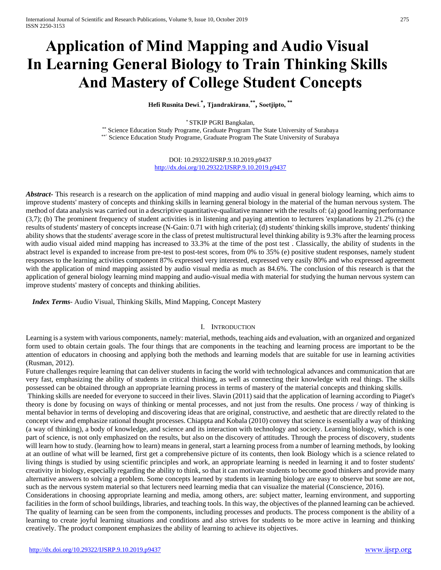# **Application of Mind Mapping and Audio Visual In Learning General Biology to Train Thinking Skills And Mastery of College Student Concepts**

**Hefi Rusnita Dewi**. **\* , Tjandrakirana**, **\*\* , Soetjipto, \*\***

\* STKIP PGRI Bangkalan,

\*\* Science Education Study Programe, Graduate Program The State University of Surabaya \*\*' Science Education Study Programe, Graduate Program The State University of Surabaya

> DOI: 10.29322/IJSRP.9.10.2019.p9437 <http://dx.doi.org/10.29322/IJSRP.9.10.2019.p9437>

*Abstract* This research is a research on the application of mind mapping and audio visual in general biology learning, which aims to improve students' mastery of concepts and thinking skills in learning general biology in the material of the human nervous system. The method of data analysis was carried out in a descriptive quantitative-qualitative manner with the results of: (a) good learning performance (3,7); (b) The prominent frequency of student activities is in listening and paying attention to lecturers 'explanations by 21.2% (c) the results of students' mastery of concepts increase (N-Gain: 0.71 with high criteria); (d) students' thinking skills improve, students' thinking ability shows that the students' average score in the class of pretest multistructural level thinking ability is 9.3% after the learning process with audio visual aided mind mapping has increased to 33.3% at the time of the post test . Classically, the ability of students in the abstract level is expanded to increase from pre-test to post-test scores, from 0% to 35% (e) positive student responses, namely student responses to the learning activities component 87% expressed very interested, expressed very easily 80% and who expressed agreement with the application of mind mapping assisted by audio visual media as much as 84.6%. The conclusion of this research is that the application of general biology learning mind mapping and audio-visual media with material for studying the human nervous system can improve students' mastery of concepts and thinking abilities.

*Index Terms*- Audio Visual, Thinking Skills, Mind Mapping, Concept Mastery

### I. INTRODUCTION

Learning is a system with various components, namely: material, methods, teaching aids and evaluation, with an organized and organized form used to obtain certain goals. The four things that are components in the teaching and learning process are important to be the attention of educators in choosing and applying both the methods and learning models that are suitable for use in learning activities (Rusman, 2012).

Future challenges require learning that can deliver students in facing the world with technological advances and communication that are very fast, emphasizing the ability of students in critical thinking, as well as connecting their knowledge with real things. The skills possessed can be obtained through an appropriate learning process in terms of mastery of the material concepts and thinking skills.

Thinking skills are needed for everyone to succeed in their lives. Slavin (2011) said that the application of learning according to Piaget's theory is done by focusing on ways of thinking or mental processes, and not just from the results. One process / way of thinking is mental behavior in terms of developing and discovering ideas that are original, constructive, and aesthetic that are directly related to the concept view and emphasize rational thought processes. Chiappta and Kobala (2010) convey that science is essentially a way of thinking (a way of thinking), a body of knowledge, and science and its interaction with technology and society. Learning biology, which is one part of science, is not only emphasized on the results, but also on the discovery of attitudes. Through the process of discovery, students will learn how to study. (learning how to learn) means in general, start a learning process from a number of learning methods, by looking at an outline of what will be learned, first get a comprehensive picture of its contents, then look Biology which is a science related to living things is studied by using scientific principles and work, an appropriate learning is needed in learning it and to foster students' creativity in biology, especially regarding the ability to think, so that it can motivate students to become good thinkers and provide many alternative answers to solving a problem. Some concepts learned by students in learning biology are easy to observe but some are not, such as the nervous system material so that lecturers need learning media that can visualize the material (Conscience, 2016).

Considerations in choosing appropriate learning and media, among others, are: subject matter, learning environment, and supporting facilities in the form of school buildings, libraries, and teaching tools. In this way, the objectives of the planned learning can be achieved. The quality of learning can be seen from the components, including processes and products. The process component is the ability of a learning to create joyful learning situations and conditions and also strives for students to be more active in learning and thinking creatively. The product component emphasizes the ability of learning to achieve its objectives.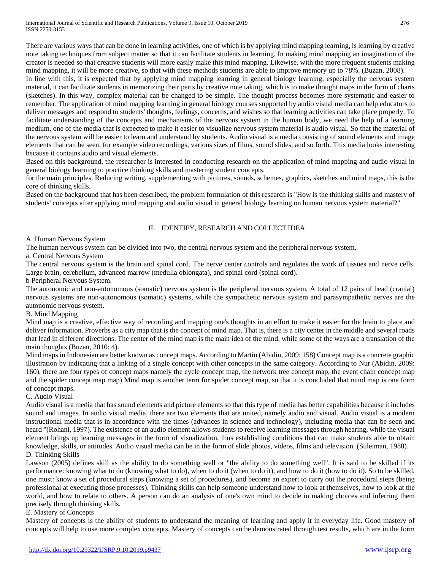There are various ways that can be done in learning activities, one of which is by applying mind mapping learning, is learning by creative note taking techniques from subject matter so that it can facilitate students in learning. In making mind mapping an imagination of the creator is needed so that creative students will more easily make this mind mapping. Likewise, with the more frequent students making mind mapping, it will be more creative, so that with these methods students are able to improve memory up to 78%. (Buzan, 2008).

In line with this, it is expected that by applying mind mapping learning in general biology learning, especially the nervous system material, it can facilitate students in memorizing their parts by creative note taking, which is to make thought maps in the form of charts (sketches). In this way, complex material can be changed to be simple. The thought process becomes more systematic and easier to remember. The application of mind mapping learning in general biology courses supported by audio visual media can help educators to deliver messages and respond to students' thoughts, feelings, concerns, and wishes so that learning activities can take place properly. To facilitate understanding of the concepts and mechanisms of the nervous system in the human body, we need the help of a learning medium, one of the media that is expected to make it easier to visualize nervous system material is audio visual. So that the material of the nervous system will be easier to learn and understand by students. Audio visual is a media consisting of sound elements and image elements that can be seen, for example video recordings, various sizes of films, sound slides, and so forth. This media looks interesting because it contains audio and visual elements.

Based on this background, the researcher is interested in conducting research on the application of mind mapping and audio visual in general biology learning to practice thinking skills and mastering student concepts.

for the main principles. Reducing writing, supplementing with pictures, sounds, schemes, graphics, sketches and mind maps, this is the core of thinking skills.

Based on the background that has been described, the problem formulation of this research is "How is the thinking skills and mastery of students' concepts after applying mind mapping and audio visual in general biology learning on human nervous system material?"

# II. IDENTIFY, RESEARCH AND COLLECT IDEA

# A. Human Nervous System

The human nervous system can be divided into two, the central nervous system and the peripheral nervous system.

a. Central Nervous System

The central nervous system is the brain and spinal cord. The nerve center controls and regulates the work of tissues and nerve cells. Large brain, cerebellum, advanced marrow (medulla oblongata), and spinal cord (spinal cord).

b Peripheral Nervous System.

The autonomic and non-autonomous (somatic) nervous system is the peripheral nervous system. A total of 12 pairs of head (cranial) nervous systems are non-autonomous (somatic) systems, while the sympathetic nervous system and parasympathetic nerves are the autonomic nervous system.

## B. Mind Mapping

Mind map is a creative, effective way of recording and mapping one's thoughts in an effort to make it easier for the brain to place and deliver information. Proverbs as a city map that is the concept of mind map. That is, there is a city center in the middle and several roads that lead in different directions. The center of the mind map is the main idea of the mind, while some of the ways are a translation of the main thoughts (Buzan, 2010: 4).

Mind maps in Indonesian are better known as concept maps. According to Martin (Abidin, 2009: 158) Concept map is a concrete graphic illustration by indicating that a linking of a single concept with other concepts in the same category. According to Nur (Abidin, 2009: 160), there are four types of concept maps namely the cycle concept map, the network tree concept map, the event chain concept map and the spider concept map map) Mind map is another term for spider concept map, so that it is concluded that mind map is one form of concept maps.

## C. Audio Visual

Audio visual is a media that has sound elements and picture elements so that this type of media has better capabilities because it includes sound and images. In audio visual media, there are two elements that are united, namely audio and visual. Audio visual is a modern instructional media that is in accordance with the times (advances in science and technology), including media that can be seen and heard "(Rohani, 1997). The existence of an audio element allows students to receive learning messages through hearing, while the visual element brings up learning messages in the form of visualization, thus establishing conditions that can make students able to obtain knowledge, skills, or attitudes. Audio visual media can be in the form of slide photos, videos, films and television. (Suleiman, 1988). D. Thinking Skills

Lawson (2005) defines skill as the ability to do something well or "the ability to do something well". It is said to be skilled if its performance: knowing what to do (knowing what to do), when to do it (when to do it), and how to do it (how to do it). So to be skilled, one must: know a set of procedural steps (knowing a set of procedures), and become an expert to carry out the procedural steps (being professional at executing those processes). Thinking skills can help someone understand how to look at themselves, how to look at the world, and how to relate to others. A person can do an analysis of one's own mind to decide in making choices and inferring them precisely through thinking skills.

# E. Mastery of Concepts

Mastery of concepts is the ability of students to understand the meaning of learning and apply it in everyday life. Good mastery of concepts will help to use more complex concepts. Mastery of concepts can be demonstrated through test results, which are in the form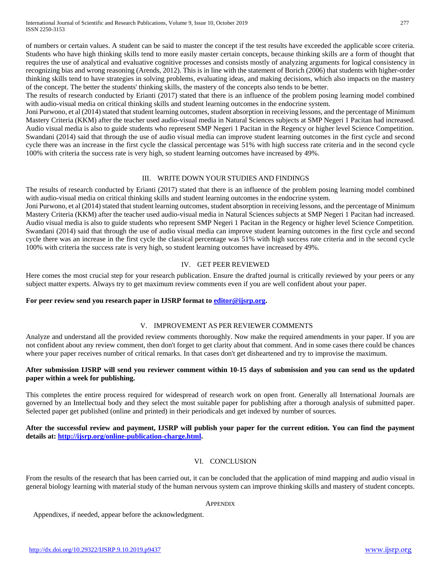International Journal of Scientific and Research Publications, Volume 9, Issue 10, October 2019 277 ISSN 2250-3153

of numbers or certain values. A student can be said to master the concept if the test results have exceeded the applicable score criteria. Students who have high thinking skills tend to more easily master certain concepts, because thinking skills are a form of thought that requires the use of analytical and evaluative cognitive processes and consists mostly of analyzing arguments for logical consistency in recognizing bias and wrong reasoning (Arends, 2012). This is in line with the statement of Borich (2006) that students with higher-order thinking skills tend to have strategies in solving problems, evaluating ideas, and making decisions, which also impacts on the mastery of the concept. The better the students' thinking skills, the mastery of the concepts also tends to be better.

The results of research conducted by Erianti (2017) stated that there is an influence of the problem posing learning model combined with audio-visual media on critical thinking skills and student learning outcomes in the endocrine system.

Joni Purwono, et al (2014) stated that student learning outcomes, student absorption in receiving lessons, and the percentage of Minimum Mastery Criteria (KKM) after the teacher used audio-visual media in Natural Sciences subjects at SMP Negeri 1 Pacitan had increased. Audio visual media is also to guide students who represent SMP Negeri 1 Pacitan in the Regency or higher level Science Competition. Swandani (2014) said that through the use of audio visual media can improve student learning outcomes in the first cycle and second cycle there was an increase in the first cycle the classical percentage was 51% with high success rate criteria and in the second cycle 100% with criteria the success rate is very high, so student learning outcomes have increased by 49%.

## III. WRITE DOWN YOUR STUDIES AND FINDINGS

The results of research conducted by Erianti (2017) stated that there is an influence of the problem posing learning model combined with audio-visual media on critical thinking skills and student learning outcomes in the endocrine system.

Joni Purwono, et al (2014) stated that student learning outcomes, student absorption in receiving lessons, and the percentage of Minimum Mastery Criteria (KKM) after the teacher used audio-visual media in Natural Sciences subjects at SMP Negeri 1 Pacitan had increased. Audio visual media is also to guide students who represent SMP Negeri 1 Pacitan in the Regency or higher level Science Competition. Swandani (2014) said that through the use of audio visual media can improve student learning outcomes in the first cycle and second cycle there was an increase in the first cycle the classical percentage was 51% with high success rate criteria and in the second cycle 100% with criteria the success rate is very high, so student learning outcomes have increased by 49%.

## IV. GET PEER REVIEWED

Here comes the most crucial step for your research publication. Ensure the drafted journal is critically reviewed by your peers or any subject matter experts. Always try to get maximum review comments even if you are well confident about your paper.

# **For peer review send you research paper in IJSRP format to [editor@ijsrp.org.](mailto:editor@ijsrp.org)**

# V. IMPROVEMENT AS PER REVIEWER COMMENTS

Analyze and understand all the provided review comments thoroughly. Now make the required amendments in your paper. If you are not confident about any review comment, then don't forget to get clarity about that comment. And in some cases there could be chances where your paper receives number of critical remarks. In that cases don't get disheartened and try to improvise the maximum.

# **After submission IJSRP will send you reviewer comment within 10-15 days of submission and you can send us the updated paper within a week for publishing.**

This completes the entire process required for widespread of research work on open front. Generally all International Journals are governed by an Intellectual body and they select the most suitable paper for publishing after a thorough analysis of submitted paper. Selected paper get published (online and printed) in their periodicals and get indexed by number of sources.

**After the successful review and payment, IJSRP will publish your paper for the current edition. You can find the payment details at: [http://ijsrp.org/online-publication-charge.html.](http://ijsrp.org/online-publication-charge.html)**

## VI. CONCLUSION

From the results of the research that has been carried out, it can be concluded that the application of mind mapping and audio visual in general biology learning with material study of the human nervous system can improve thinking skills and mastery of student concepts.

#### **APPENDIX**

Appendixes, if needed, appear before the acknowledgment.